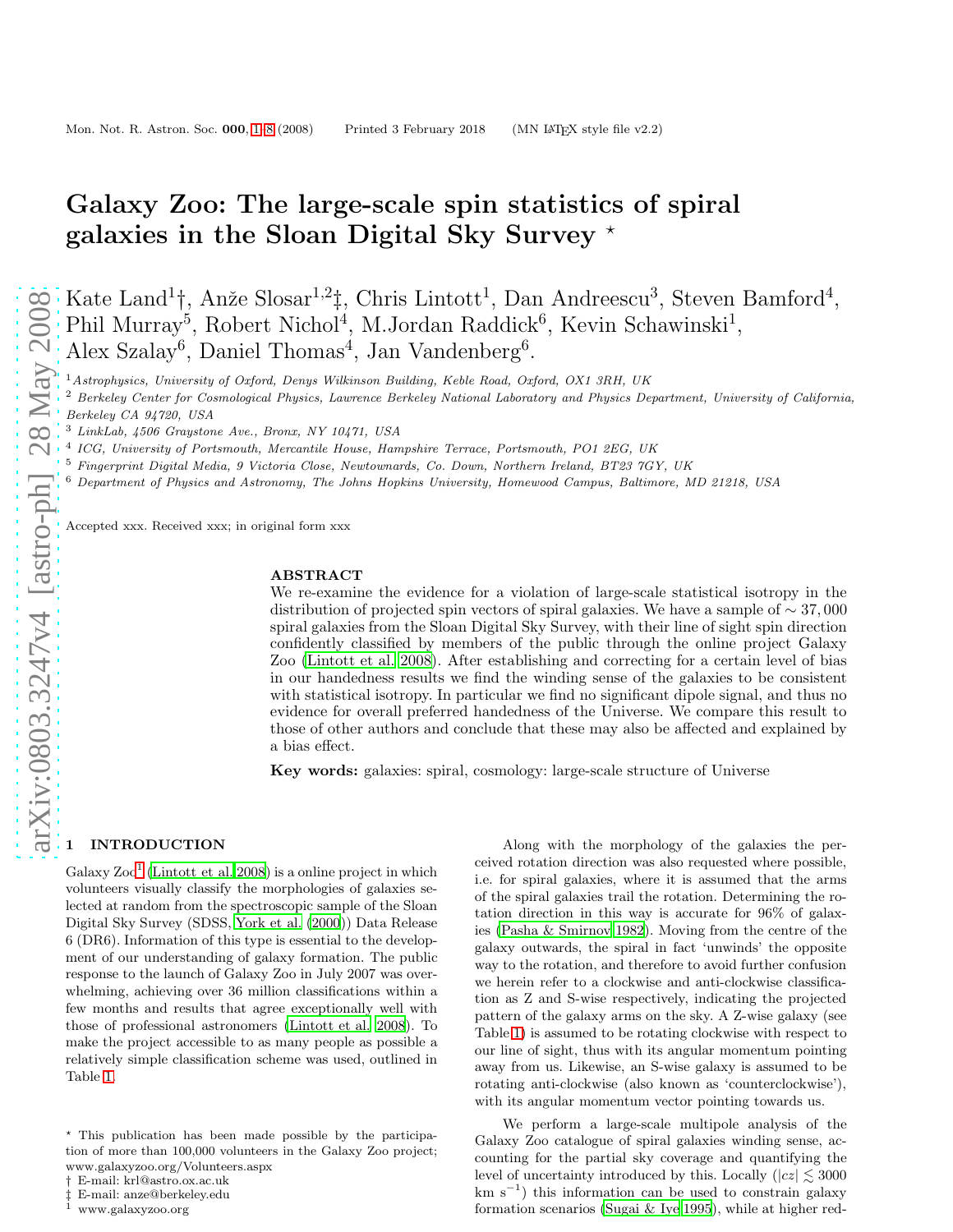# Galaxy Zoo: The large-scale spin statistics of spiral galaxies in the Sloan Digital Sky Survey  $*$

Kate Land<sup>1</sup>†, Anže Slosar<sup>1,2</sup>‡, Chris Lintott<sup>1</sup>, Dan Andreescu<sup>3</sup>, Steven Bamford<sup>4</sup>, Phil Murray<sup>5</sup>, Robert Nichol<sup>4</sup>, M.Jordan Raddick<sup>6</sup>, Kevin Schawinski<sup>1</sup>, Alex Szalay<sup>6</sup>, Daniel Thomas<sup>4</sup>, Jan Vandenberg<sup>6</sup>.

<sup>1</sup>Astrophysics, University of Oxford, Denys Wilkinson Building, Keble Road, Oxford, OX1 3RH, UK

<sup>2</sup> Berkeley Center for Cosmological Physics, Lawrence Berkeley National Laboratory and Physics Department, University of California,

Berkeley CA 94720, USA

<sup>5</sup> Fingerprint Digital Media, 9 Victoria Close, Newtownards, Co. Down, Northern Ireland, BT23 7GY, UK

<sup>6</sup> Department of Physics and Astronomy, The Johns Hopkins University, Homewood Campus, Baltimore, MD 21218, USA

Accepted xxx. Received xxx; in original form xxx

# ABSTRACT

We re-examine the evidence for a violation of large-scale statistical isotropy in the distribution of projected spin vectors of spiral galaxies. We have a sample of  $\sim 37,000$ spiral galaxies from the Sloan Digital Sky Survey, with their line of sight spin direction confidently classified by members of the public through the online project Galaxy Zoo [\(Lintott et al. 2008](#page-7-1)). After establishing and correcting for a certain level of bias in our handedness results we find the winding sense of the galaxies to be consistent with statistical isotropy. In particular we find no significant dipole signal, and thus no evidence for overall preferred handedness of the Universe. We compare this result to those of other authors and conclude that these may also be affected and explained by a bias effect.

Key words: galaxies: spiral, cosmology: large-scale structure of Universe

# **INTRODUCTION**

Galaxy  $\text{Zoo}^1$  $\text{Zoo}^1$  [\(Lintott et al. 2008](#page-7-1)) is a online project in which volunteers visually classify the morphologies of galaxies selected at random from the spectroscopic sample of the Sloan Digital Sky Survey (SDSS, [York et al. \(2000\)](#page-7-2)) Data Release 6 (DR6). Information of this type is essential to the development of our understanding of galaxy formation. The public response to the launch of Galaxy Zoo in July 2007 was overwhelming, achieving over 36 million classifications within a few months and results that agree exceptionally well with those of professional astronomers [\(Lintott et al. 2008](#page-7-1)). To make the project accessible to as many people as possible a relatively simple classification scheme was used, outlined in Table [1.](#page-1-0)

Along with the morphology of the galaxies the perceived rotation direction was also requested where possible, i.e. for spiral galaxies, where it is assumed that the arms of the spiral galaxies trail the rotation. Determining the rotation direction in this way is accurate for 96% of galaxies [\(Pasha & Smirnov 1982](#page-7-3)). Moving from the centre of the galaxy outwards, the spiral in fact 'unwinds' the opposite way to the rotation, and therefore to avoid further confusion we herein refer to a clockwise and anti-clockwise classification as Z and S-wise respectively, indicating the projected pattern of the galaxy arms on the sky. A Z-wise galaxy (see Table [1\)](#page-1-0) is assumed to be rotating clockwise with respect to our line of sight, thus with its angular momentum pointing away from us. Likewise, an S-wise galaxy is assumed to be rotating anti-clockwise (also known as 'counterclockwise'), with its angular momentum vector pointing towards us.

We perform a large-scale multipole analysis of the Galaxy Zoo catalogue of spiral galaxies winding sense, accounting for the partial sky coverage and quantifying the level of uncertainty introduced by this. Locally ( $|cz| \leq 3000$ km s<sup>−</sup><sup>1</sup> ) this information can be used to constrain galaxy formation scenarios [\(Sugai & Iye 1995](#page-7-4)), while at higher red-

<sup>3</sup> LinkLab, 4506 Graystone Ave., Bronx, NY 10471, USA

<sup>4</sup> ICG, University of Portsmouth, Mercantile House, Hampshire Terrace, Portsmouth, PO1 2EG, UK

<sup>⋆</sup> This publication has been made possible by the participation of more than 100,000 volunteers in the Galaxy Zoo project; www.galaxyzoo.org/Volunteers.aspx

<sup>†</sup> E-mail: krl@astro.ox.ac.uk

<sup>‡</sup> E-mail: anze@berkeley.edu

<span id="page-0-0"></span><sup>1</sup> www.galaxyzoo.org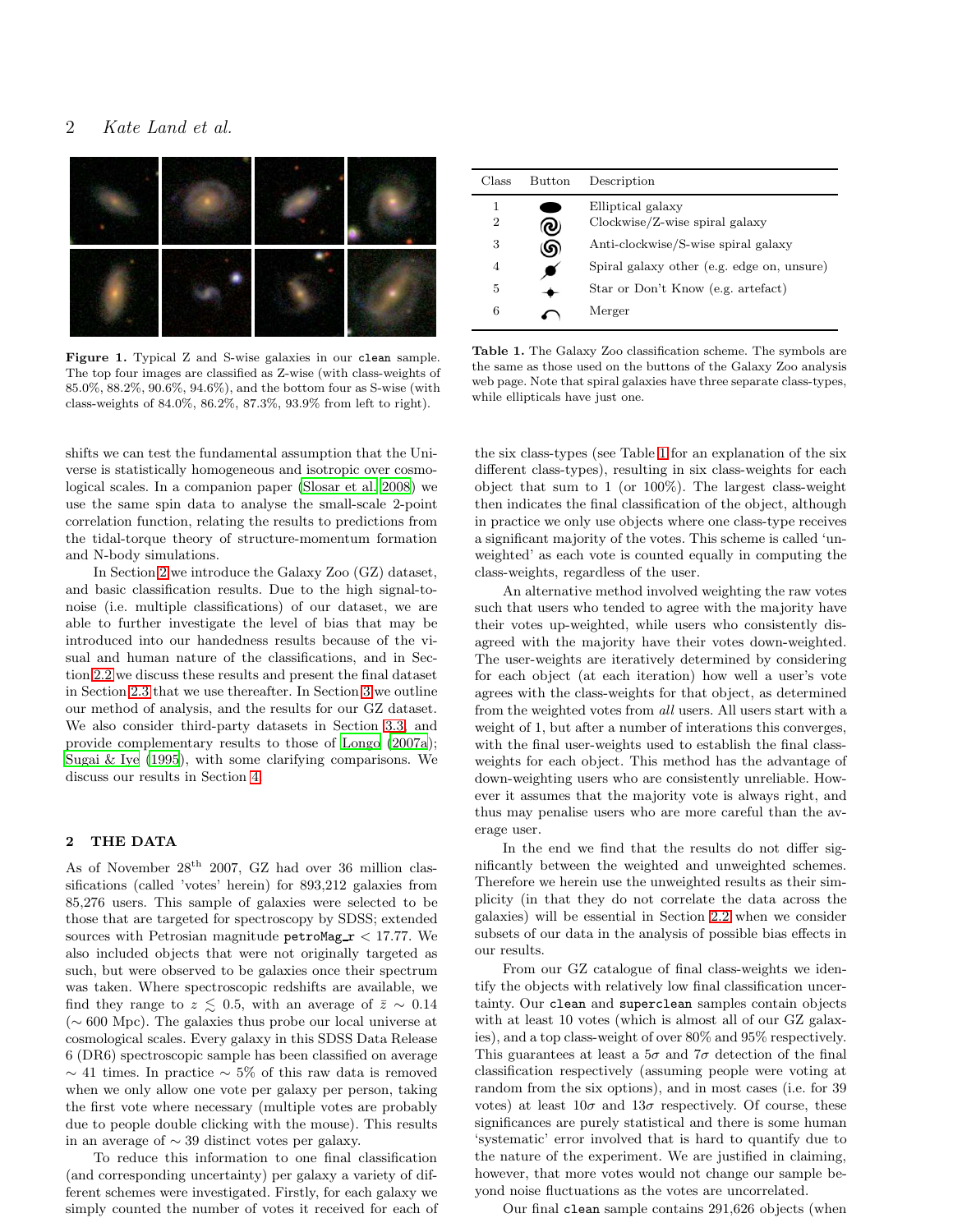# 2 *Kate Land et al.*



Figure 1. Typical Z and S-wise galaxies in our clean sample. The top four images are classified as Z-wise (with class-weights of 85.0%, 88.2%, 90.6%, 94.6%), and the bottom four as S-wise (with class-weights of 84.0%, 86.2%, 87.3%, 93.9% from left to right).

shifts we can test the fundamental assumption that the Universe is statistically homogeneous and isotropic over cosmological scales. In a companion paper [\(Slosar et al. 2008\)](#page-7-5) we use the same spin data to analyse the small-scale 2-point correlation function, relating the results to predictions from the tidal-torque theory of structure-momentum formation and N-body simulations.

In Section [2](#page-1-1) we introduce the Galaxy Zoo (GZ) dataset, and basic classification results. Due to the high signal-tonoise (i.e. multiple classifications) of our dataset, we are able to further investigate the level of bias that may be introduced into our handedness results because of the visual and human nature of the classifications, and in Section [2.2](#page-2-0) we discuss these results and present the final dataset in Section [2.3](#page-4-0) that we use thereafter. In Section [3](#page-4-1) we outline our method of analysis, and the results for our GZ dataset. We also consider third-party datasets in Section [3.3,](#page-5-0) and provide complementary results to those of [Longo \(2007a](#page-7-6)); [Sugai & Iye \(1995](#page-7-4)), with some clarifying comparisons. We discuss our results in Section [4.](#page-6-0)

# <span id="page-1-1"></span>2 THE DATA

As of November  $28<sup>th</sup>$  2007, GZ had over 36 million classifications (called 'votes' herein) for 893,212 galaxies from 85,276 users. This sample of galaxies were selected to be those that are targeted for spectroscopy by SDSS; extended sources with Petrosian magnitude petroMag  $r < 17.77$ . We also included objects that were not originally targeted as such, but were observed to be galaxies once their spectrum was taken. Where spectroscopic redshifts are available, we find they range to  $z \leq 0.5$ , with an average of  $\bar{z} \sim 0.14$ (∼ 600 Mpc). The galaxies thus probe our local universe at cosmological scales. Every galaxy in this SDSS Data Release 6 (DR6) spectroscopic sample has been classified on average  $\sim$  41 times. In practice  $\sim$  5% of this raw data is removed when we only allow one vote per galaxy per person, taking the first vote where necessary (multiple votes are probably due to people double clicking with the mouse). This results in an average of ∼ 39 distinct votes per galaxy.

To reduce this information to one final classification (and corresponding uncertainty) per galaxy a variety of different schemes were investigated. Firstly, for each galaxy we simply counted the number of votes it received for each of

| Class  | Button | Description                                           |
|--------|--------|-------------------------------------------------------|
| 1<br>2 | υ      | Elliptical galaxy<br>$Clockwise/Z-wise spiral galaxy$ |
| 3      | ဖာ     | Anti-clockwise/S-wise spiral galaxy                   |
| 4      |        | Spiral galaxy other (e.g. edge on, unsure)            |
| 5      |        | Star or Don't Know (e.g. artefact)                    |
| 6      |        | Merger                                                |

<span id="page-1-0"></span>Table 1. The Galaxy Zoo classification scheme. The symbols are the same as those used on the buttons of the Galaxy Zoo analysis web page. Note that spiral galaxies have three separate class-types, while ellipticals have just one.

the six class-types (see Table [1](#page-1-0) for an explanation of the six different class-types), resulting in six class-weights for each object that sum to 1 (or 100%). The largest class-weight then indicates the final classification of the object, although in practice we only use objects where one class-type receives a significant majority of the votes. This scheme is called 'unweighted' as each vote is counted equally in computing the class-weights, regardless of the user.

An alternative method involved weighting the raw votes such that users who tended to agree with the majority have their votes up-weighted, while users who consistently disagreed with the majority have their votes down-weighted. The user-weights are iteratively determined by considering for each object (at each iteration) how well a user's vote agrees with the class-weights for that object, as determined from the weighted votes from all users. All users start with a weight of 1, but after a number of interations this converges, with the final user-weights used to establish the final classweights for each object. This method has the advantage of down-weighting users who are consistently unreliable. However it assumes that the majority vote is always right, and thus may penalise users who are more careful than the average user.

In the end we find that the results do not differ significantly between the weighted and unweighted schemes. Therefore we herein use the unweighted results as their simplicity (in that they do not correlate the data across the galaxies) will be essential in Section [2.2](#page-2-0) when we consider subsets of our data in the analysis of possible bias effects in our results.

From our GZ catalogue of final class-weights we identify the objects with relatively low final classification uncertainty. Our clean and superclean samples contain objects with at least 10 votes (which is almost all of our GZ galaxies), and a top class-weight of over 80% and 95% respectively. This guarantees at least a  $5\sigma$  and  $7\sigma$  detection of the final classification respectively (assuming people were voting at random from the six options), and in most cases (i.e. for 39 votes) at least  $10\sigma$  and  $13\sigma$  respectively. Of course, these significances are purely statistical and there is some human 'systematic' error involved that is hard to quantify due to the nature of the experiment. We are justified in claiming, however, that more votes would not change our sample beyond noise fluctuations as the votes are uncorrelated.

Our final clean sample contains 291,626 objects (when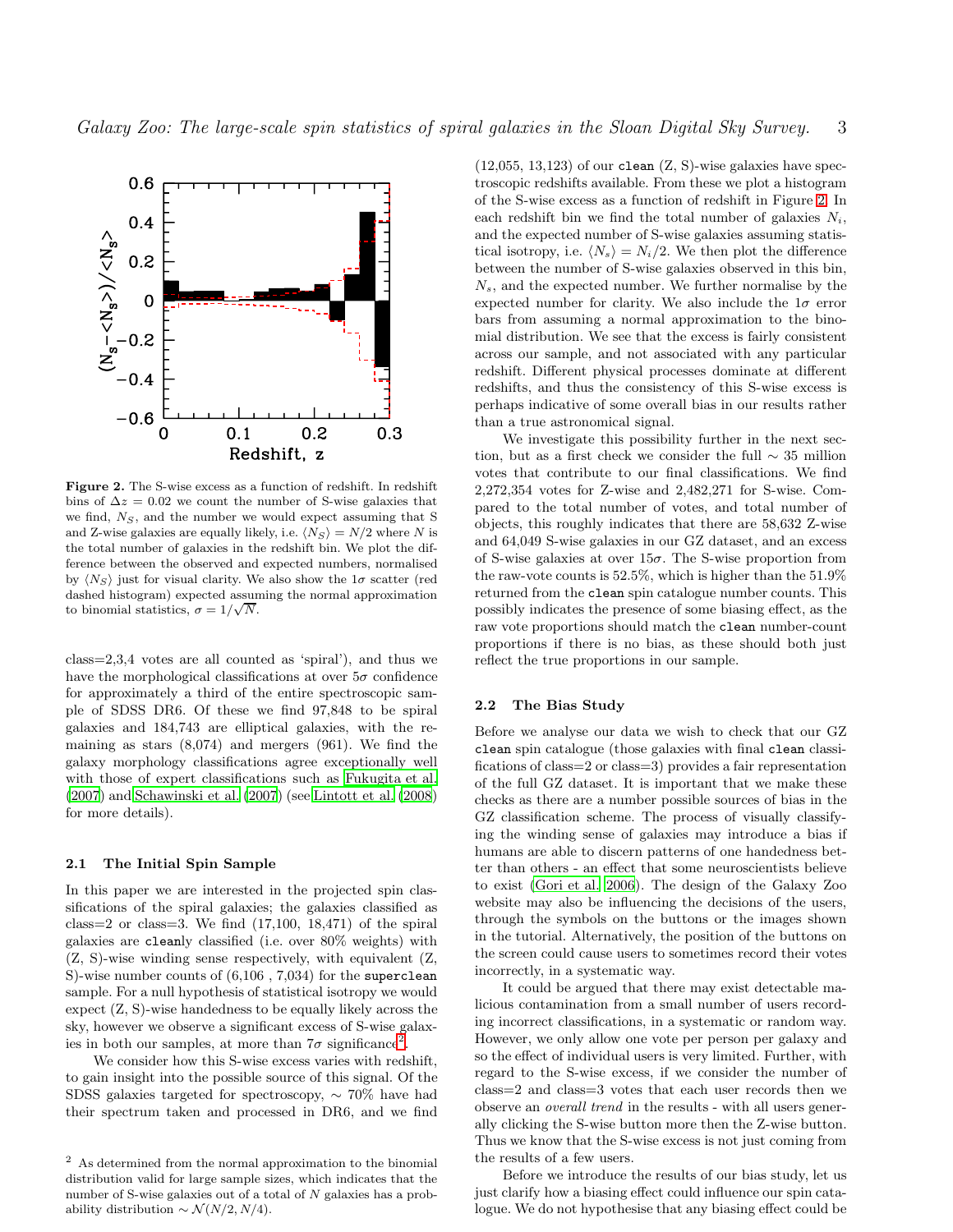

<span id="page-2-2"></span>Figure 2. The S-wise excess as a function of redshift. In redshift bins of  $\Delta z = 0.02$  we count the number of S-wise galaxies that we find,  $N<sub>S</sub>$ , and the number we would expect assuming that S and Z-wise galaxies are equally likely, i.e.  $\langle N_S \rangle = N/2$  where N is the total number of galaxies in the redshift bin. We plot the difference between the observed and expected numbers, normalised by  $\langle N_S \rangle$  just for visual clarity. We also show the  $1\sigma$  scatter (red dashed histogram) expected assuming the normal approximation to binomial statistics,  $\sigma = 1/\sqrt{N}$ .

class=2,3,4 votes are all counted as 'spiral'), and thus we have the morphological classifications at over  $5\sigma$  confidence for approximately a third of the entire spectroscopic sample of SDSS DR6. Of these we find 97,848 to be spiral galaxies and 184,743 are elliptical galaxies, with the remaining as stars  $(8,074)$  and mergers  $(961)$ . We find the galaxy morphology classifications agree exceptionally well with those of expert classifications such as [Fukugita et al.](#page-7-7) [\(2007](#page-7-7)) and [Schawinski et al. \(2007](#page-7-8)) (see [Lintott et al. \(2008](#page-7-1)) for more details).

# 2.1 The Initial Spin Sample

In this paper we are interested in the projected spin classifications of the spiral galaxies; the galaxies classified as class=2 or class=3. We find  $(17,100, 18,471)$  of the spiral galaxies are cleanly classified (i.e. over 80% weights) with (Z, S)-wise winding sense respectively, with equivalent (Z, S)-wise number counts of (6,106 , 7,034) for the superclean sample. For a null hypothesis of statistical isotropy we would expect (Z, S)-wise handedness to be equally likely across the sky, however we observe a significant excess of S-wise galaxies in both our samples, at more than  $7\sigma$  significance<sup>[2](#page-2-1)</sup>.

We consider how this S-wise excess varies with redshift, to gain insight into the possible source of this signal. Of the SDSS galaxies targeted for spectroscopy, ∼ 70% have had their spectrum taken and processed in DR6, and we find  $(12,055, 13,123)$  of our clean  $(Z, S)$ -wise galaxies have spectroscopic redshifts available. From these we plot a histogram of the S-wise excess as a function of redshift in Figure [2.](#page-2-2) In each redshift bin we find the total number of galaxies  $N_i$ , and the expected number of S-wise galaxies assuming statistical isotropy, i.e.  $\langle N_s \rangle = N_i/2$ . We then plot the difference between the number of S-wise galaxies observed in this bin,  $N_s$ , and the expected number. We further normalise by the expected number for clarity. We also include the  $1\sigma$  error bars from assuming a normal approximation to the binomial distribution. We see that the excess is fairly consistent across our sample, and not associated with any particular redshift. Different physical processes dominate at different redshifts, and thus the consistency of this S-wise excess is perhaps indicative of some overall bias in our results rather than a true astronomical signal.

We investigate this possibility further in the next section, but as a first check we consider the full ∼ 35 million votes that contribute to our final classifications. We find 2,272,354 votes for Z-wise and 2,482,271 for S-wise. Compared to the total number of votes, and total number of objects, this roughly indicates that there are 58,632 Z-wise and 64,049 S-wise galaxies in our GZ dataset, and an excess of S-wise galaxies at over  $15\sigma$ . The S-wise proportion from the raw-vote counts is 52.5%, which is higher than the 51.9% returned from the clean spin catalogue number counts. This possibly indicates the presence of some biasing effect, as the raw vote proportions should match the clean number-count proportions if there is no bias, as these should both just reflect the true proportions in our sample.

# <span id="page-2-0"></span>2.2 The Bias Study

Before we analyse our data we wish to check that our GZ clean spin catalogue (those galaxies with final clean classifications of class=2 or class=3) provides a fair representation of the full GZ dataset. It is important that we make these checks as there are a number possible sources of bias in the GZ classification scheme. The process of visually classifying the winding sense of galaxies may introduce a bias if humans are able to discern patterns of one handedness better than others - an effect that some neuroscientists believe to exist [\(Gori et al. 2006](#page-7-9)). The design of the Galaxy Zoo website may also be influencing the decisions of the users, through the symbols on the buttons or the images shown in the tutorial. Alternatively, the position of the buttons on the screen could cause users to sometimes record their votes incorrectly, in a systematic way.

It could be argued that there may exist detectable malicious contamination from a small number of users recording incorrect classifications, in a systematic or random way. However, we only allow one vote per person per galaxy and so the effect of individual users is very limited. Further, with regard to the S-wise excess, if we consider the number of class=2 and class=3 votes that each user records then we observe an overall trend in the results - with all users generally clicking the S-wise button more then the Z-wise button. Thus we know that the S-wise excess is not just coming from the results of a few users.

Before we introduce the results of our bias study, let us just clarify how a biasing effect could influence our spin catalogue. We do not hypothesise that any biasing effect could be

<span id="page-2-1"></span><sup>2</sup> As determined from the normal approximation to the binomial distribution valid for large sample sizes, which indicates that the number of S-wise galaxies out of a total of N galaxies has a probability distribution  $\sim \mathcal{N}(N/2, N/4)$ .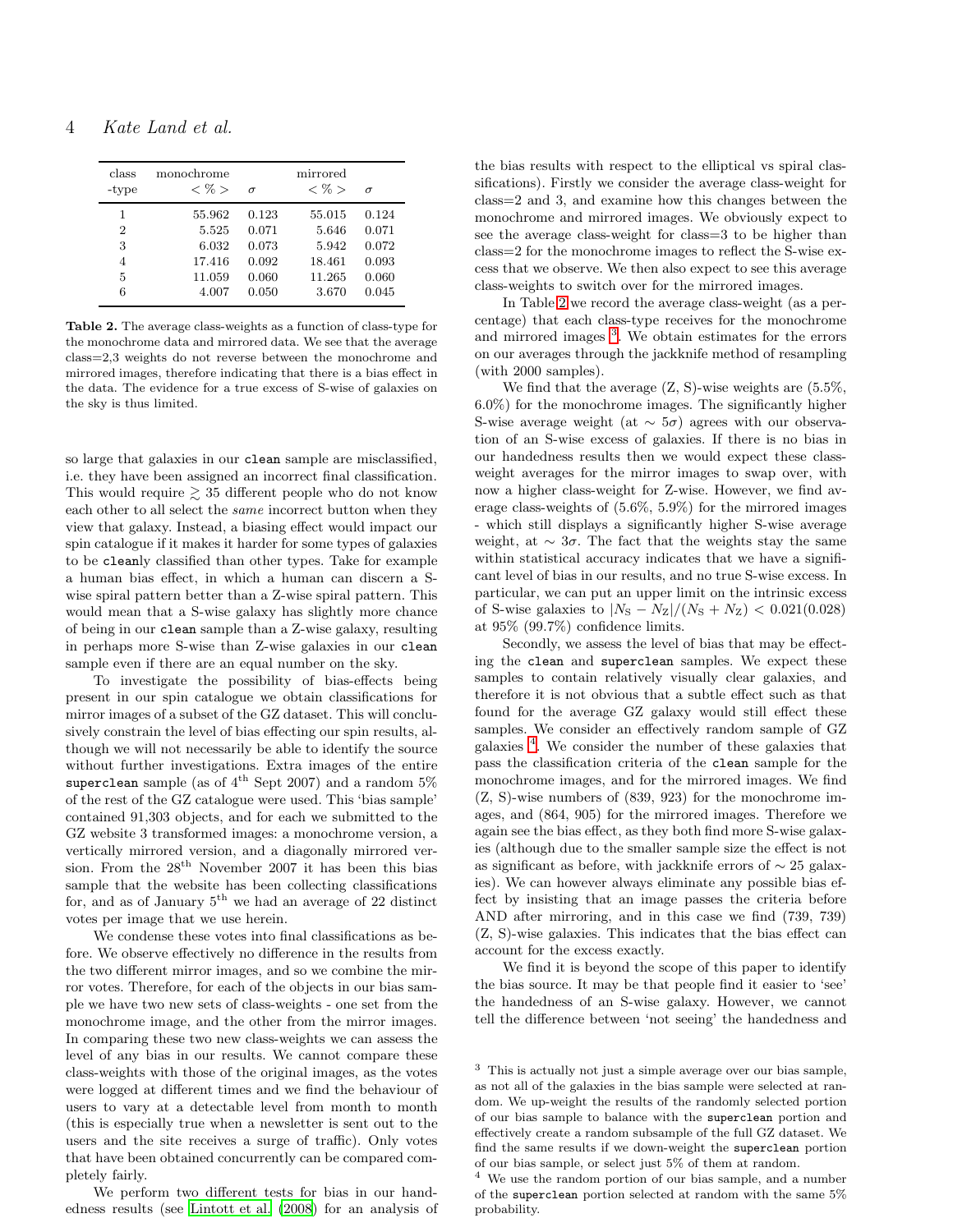| class<br>-type | monochrome<br>$<\%>$ | $\sigma$ | mirrored<br>$<\%>$ | $\sigma$ |
|----------------|----------------------|----------|--------------------|----------|
| 1              | 55.962               | 0.123    | 55.015             | 0.124    |
| $\overline{2}$ | 5.525                | 0.071    | 5.646              | 0.071    |
| 3              | 6.032                | 0.073    | 5.942              | 0.072    |
| 4              | 17.416               | 0.092    | 18.461             | 0.093    |
| 5              | 11.059               | 0.060    | 11.265             | 0.060    |
| 6              | 4.007                | 0.050    | 3.670              | 0.045    |

<span id="page-3-0"></span>Table 2. The average class-weights as a function of class-type for the monochrome data and mirrored data. We see that the average class=2,3 weights do not reverse between the monochrome and mirrored images, therefore indicating that there is a bias effect in the data. The evidence for a true excess of S-wise of galaxies on the sky is thus limited.

so large that galaxies in our clean sample are misclassified, i.e. they have been assigned an incorrect final classification. This would require  $\geq$  35 different people who do not know each other to all select the same incorrect button when they view that galaxy. Instead, a biasing effect would impact our spin catalogue if it makes it harder for some types of galaxies to be cleanly classified than other types. Take for example a human bias effect, in which a human can discern a Swise spiral pattern better than a Z-wise spiral pattern. This would mean that a S-wise galaxy has slightly more chance of being in our clean sample than a Z-wise galaxy, resulting in perhaps more S-wise than Z-wise galaxies in our clean sample even if there are an equal number on the sky.

To investigate the possibility of bias-effects being present in our spin catalogue we obtain classifications for mirror images of a subset of the GZ dataset. This will conclusively constrain the level of bias effecting our spin results, although we will not necessarily be able to identify the source without further investigations. Extra images of the entire superclean sample (as of  $4^{\text{th}}$  Sept 2007) and a random 5% of the rest of the GZ catalogue were used. This 'bias sample' contained 91,303 objects, and for each we submitted to the GZ website 3 transformed images: a monochrome version, a vertically mirrored version, and a diagonally mirrored version. From the  $28<sup>th</sup>$  November 2007 it has been this bias sample that the website has been collecting classifications for, and as of January 5<sup>th</sup> we had an average of 22 distinct votes per image that we use herein.

We condense these votes into final classifications as before. We observe effectively no difference in the results from the two different mirror images, and so we combine the mirror votes. Therefore, for each of the objects in our bias sample we have two new sets of class-weights - one set from the monochrome image, and the other from the mirror images. In comparing these two new class-weights we can assess the level of any bias in our results. We cannot compare these class-weights with those of the original images, as the votes were logged at different times and we find the behaviour of users to vary at a detectable level from month to month (this is especially true when a newsletter is sent out to the users and the site receives a surge of traffic). Only votes that have been obtained concurrently can be compared completely fairly.

We perform two different tests for bias in our handedness results (see [Lintott et al. \(2008\)](#page-7-1) for an analysis of the bias results with respect to the elliptical vs spiral classifications). Firstly we consider the average class-weight for class=2 and 3, and examine how this changes between the monochrome and mirrored images. We obviously expect to see the average class-weight for class=3 to be higher than class=2 for the monochrome images to reflect the S-wise excess that we observe. We then also expect to see this average class-weights to switch over for the mirrored images.

In Table [2](#page-3-0) we record the average class-weight (as a percentage) that each class-type receives for the monochrome and mirrored images [3](#page-3-1) . We obtain estimates for the errors on our averages through the jackknife method of resampling (with 2000 samples).

We find that the average  $(Z, S)$ -wise weights are  $(5.5\%, \ldots)$ 6.0%) for the monochrome images. The significantly higher S-wise average weight (at  $\sim 5\sigma$ ) agrees with our observation of an S-wise excess of galaxies. If there is no bias in our handedness results then we would expect these classweight averages for the mirror images to swap over, with now a higher class-weight for Z-wise. However, we find average class-weights of (5.6%, 5.9%) for the mirrored images - which still displays a significantly higher S-wise average weight, at  $\sim 3\sigma$ . The fact that the weights stay the same within statistical accuracy indicates that we have a significant level of bias in our results, and no true S-wise excess. In particular, we can put an upper limit on the intrinsic excess of S-wise galaxies to  $|N_{\rm S} - N_{\rm Z}|/(N_{\rm S} + N_{\rm Z}) < 0.021(0.028)$ at 95% (99.7%) confidence limits.

Secondly, we assess the level of bias that may be effecting the clean and superclean samples. We expect these samples to contain relatively visually clear galaxies, and therefore it is not obvious that a subtle effect such as that found for the average GZ galaxy would still effect these samples. We consider an effectively random sample of GZ galaxies [4](#page-3-2) . We consider the number of these galaxies that pass the classification criteria of the clean sample for the monochrome images, and for the mirrored images. We find (Z, S)-wise numbers of (839, 923) for the monochrome images, and (864, 905) for the mirrored images. Therefore we again see the bias effect, as they both find more S-wise galaxies (although due to the smaller sample size the effect is not as significant as before, with jackknife errors of ∼ 25 galaxies). We can however always eliminate any possible bias effect by insisting that an image passes the criteria before AND after mirroring, and in this case we find (739, 739) (Z, S)-wise galaxies. This indicates that the bias effect can account for the excess exactly.

We find it is beyond the scope of this paper to identify the bias source. It may be that people find it easier to 'see' the handedness of an S-wise galaxy. However, we cannot tell the difference between 'not seeing' the handedness and

<span id="page-3-1"></span><sup>3</sup> This is actually not just a simple average over our bias sample, as not all of the galaxies in the bias sample were selected at random. We up-weight the results of the randomly selected portion of our bias sample to balance with the superclean portion and effectively create a random subsample of the full GZ dataset. We find the same results if we down-weight the superclean portion of our bias sample, or select just 5% of them at random.

<span id="page-3-2"></span><sup>4</sup> We use the random portion of our bias sample, and a number of the superclean portion selected at random with the same 5% probability.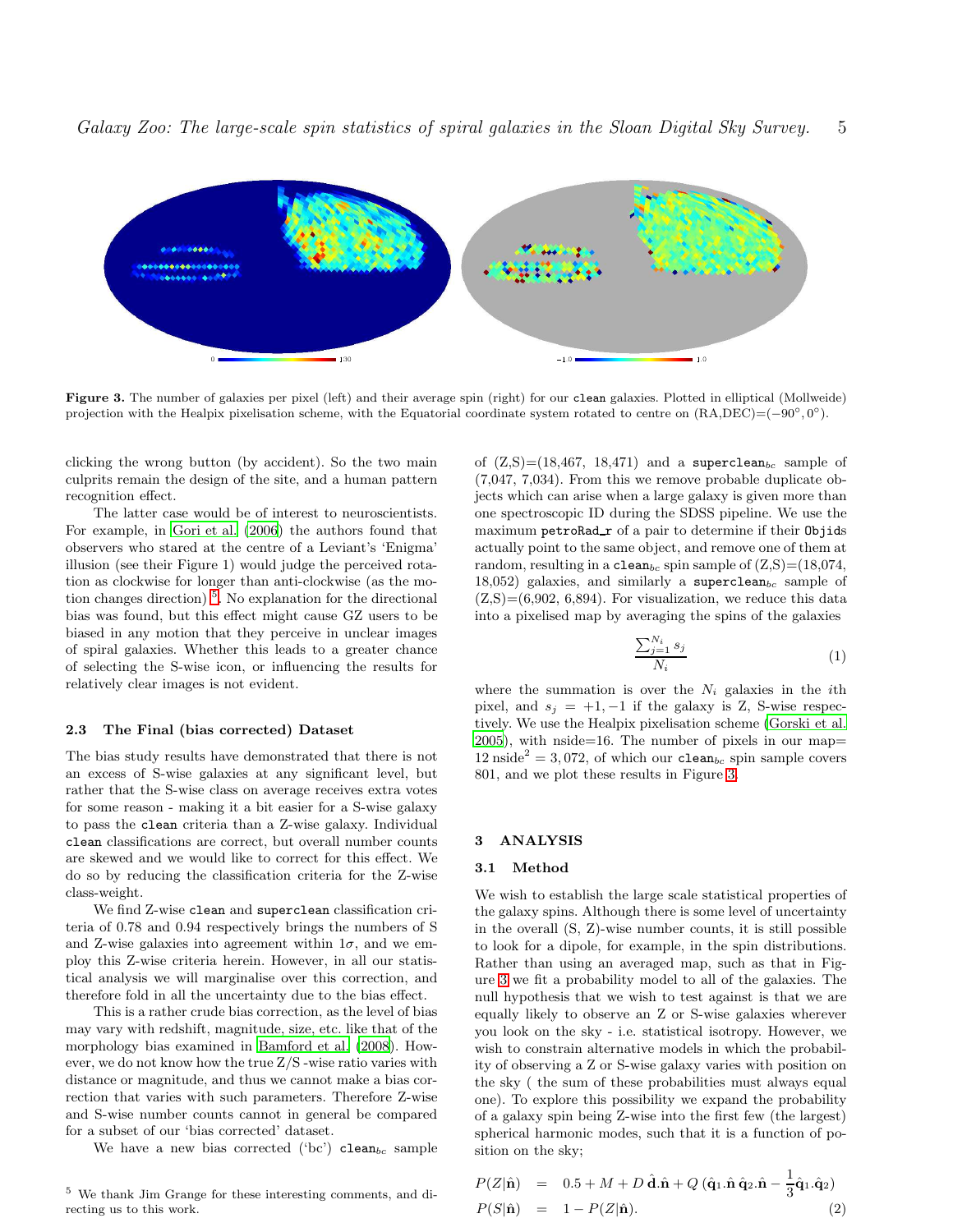

<span id="page-4-3"></span>Figure 3. The number of galaxies per pixel (left) and their average spin (right) for our clean galaxies. Plotted in elliptical (Mollweide) projection with the Healpix pixelisation scheme, with the Equatorial coordinate system rotated to centre on  $(RA,DEC) = (-90°, 0°)$ .

clicking the wrong button (by accident). So the two main culprits remain the design of the site, and a human pattern recognition effect.

The latter case would be of interest to neuroscientists. For example, in [Gori et al. \(2006](#page-7-9)) the authors found that observers who stared at the centre of a Leviant's 'Enigma' illusion (see their Figure 1) would judge the perceived rotation as clockwise for longer than anti-clockwise (as the mo-tion changes direction)<sup>[5](#page-4-2)</sup>. No explanation for the directional bias was found, but this effect might cause GZ users to be biased in any motion that they perceive in unclear images of spiral galaxies. Whether this leads to a greater chance of selecting the S-wise icon, or influencing the results for relatively clear images is not evident.

#### <span id="page-4-0"></span>2.3 The Final (bias corrected) Dataset

The bias study results have demonstrated that there is not an excess of S-wise galaxies at any significant level, but rather that the S-wise class on average receives extra votes for some reason - making it a bit easier for a S-wise galaxy to pass the clean criteria than a Z-wise galaxy. Individual clean classifications are correct, but overall number counts are skewed and we would like to correct for this effect. We do so by reducing the classification criteria for the Z-wise class-weight.

We find Z-wise clean and superclean classification criteria of 0.78 and 0.94 respectively brings the numbers of S and Z-wise galaxies into agreement within  $1\sigma$ , and we employ this Z-wise criteria herein. However, in all our statistical analysis we will marginalise over this correction, and therefore fold in all the uncertainty due to the bias effect.

This is a rather crude bias correction, as the level of bias may vary with redshift, magnitude, size, etc. like that of the morphology bias examined in [Bamford et al. \(2008](#page-7-10)). However, we do not know how the true Z/S -wise ratio varies with distance or magnitude, and thus we cannot make a bias correction that varies with such parameters. Therefore Z-wise and S-wise number counts cannot in general be compared for a subset of our 'bias corrected' dataset.

We have a new bias corrected ('bc') clean<sub>bc</sub> sample

<span id="page-4-2"></span><sup>5</sup> We thank Jim Grange for these interesting comments, and directing us to this work.

of  $(Z, S) = (18, 467, 18, 471)$  and a superclean<sub>bc</sub> sample of (7,047, 7,034). From this we remove probable duplicate objects which can arise when a large galaxy is given more than one spectroscopic ID during the SDSS pipeline. We use the maximum petroRad r of a pair to determine if their Objids actually point to the same object, and remove one of them at random, resulting in a clean<sub>bc</sub> spin sample of  $(Z, S) = (18,074,$ 18,052) galaxies, and similarly a superclean $_{bc}$  sample of  $(Z, S) = (6,902, 6,894)$ . For visualization, we reduce this data into a pixelised map by averaging the spins of the galaxies

$$
\frac{\sum_{j=1}^{N_i} s_j}{N_i} \tag{1}
$$

where the summation is over the  $N_i$  galaxies in the *i*th pixel, and  $s_i = +1, -1$  if the galaxy is Z, S-wise respectively. We use the Healpix pixelisation scheme [\(Gorski et al.](#page-7-11) [2005](#page-7-11)), with nside=16. The number of pixels in our map=  $12 \text{ inside}^2 = 3,072,$  of which our clean<sub>bc</sub> spin sample covers 801, and we plot these results in Figure [3.](#page-4-3)

#### <span id="page-4-1"></span>3 ANALYSIS

#### 3.1 Method

We wish to establish the large scale statistical properties of the galaxy spins. Although there is some level of uncertainty in the overall (S, Z)-wise number counts, it is still possible to look for a dipole, for example, in the spin distributions. Rather than using an averaged map, such as that in Figure [3](#page-4-3) we fit a probability model to all of the galaxies. The null hypothesis that we wish to test against is that we are equally likely to observe an Z or S-wise galaxies wherever you look on the sky - i.e. statistical isotropy. However, we wish to constrain alternative models in which the probability of observing a Z or S-wise galaxy varies with position on the sky ( the sum of these probabilities must always equal one). To explore this possibility we expand the probability of a galaxy spin being Z-wise into the first few (the largest) spherical harmonic modes, such that it is a function of position on the sky;

<span id="page-4-4"></span>
$$
P(Z|\hat{\mathbf{n}}) = 0.5 + M + D \hat{\mathbf{d}}.\hat{\mathbf{n}} + Q (\hat{\mathbf{q}}_1.\hat{\mathbf{n}} \hat{\mathbf{q}}_2.\hat{\mathbf{n}} - \frac{1}{3}\hat{\mathbf{q}}_1.\hat{\mathbf{q}}_2)
$$
  
\n
$$
P(S|\hat{\mathbf{n}}) = 1 - P(Z|\hat{\mathbf{n}}).
$$
 (2)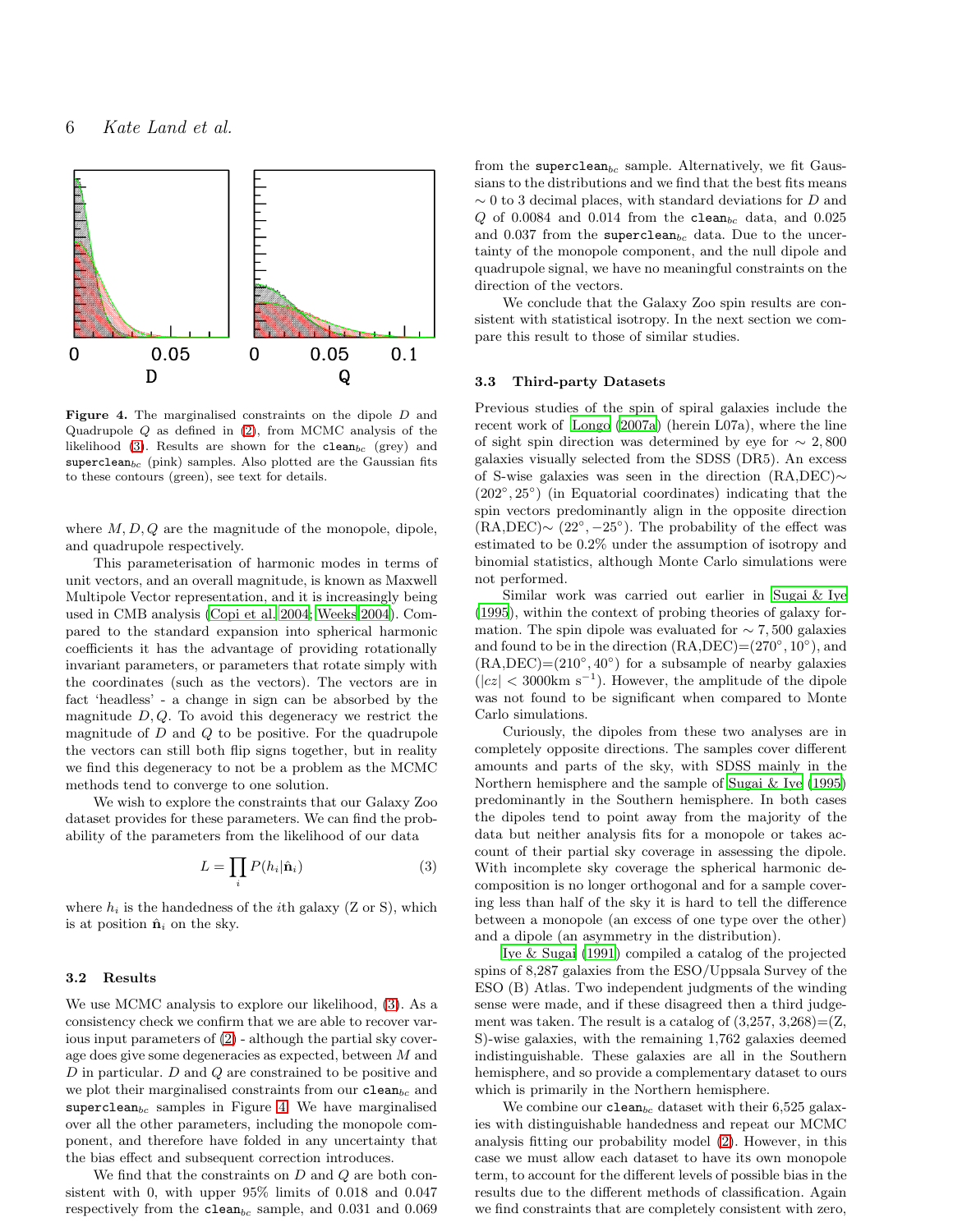

<span id="page-5-2"></span>Figure 4. The marginalised constraints on the dipole D and Quadrupole  $Q$  as defined in  $(2)$ , from MCMC analysis of the likelihood [\(3\)](#page-5-1). Results are shown for the  $\texttt{clean}_{bc}$  (grey) and  $superclean_{bc}$  (pink) samples. Also plotted are the Gaussian fits to these contours (green), see text for details.

where  $M, D, Q$  are the magnitude of the monopole, dipole, and quadrupole respectively.

This parameterisation of harmonic modes in terms of unit vectors, and an overall magnitude, is known as Maxwell Multipole Vector representation, and it is increasingly being used in CMB analysis [\(Copi et al. 2004](#page-7-12); [Weeks 2004](#page-7-13)). Compared to the standard expansion into spherical harmonic coefficients it has the advantage of providing rotationally invariant parameters, or parameters that rotate simply with the coordinates (such as the vectors). The vectors are in fact 'headless' - a change in sign can be absorbed by the magnitude  $D, Q$ . To avoid this degeneracy we restrict the magnitude of  $D$  and  $Q$  to be positive. For the quadrupole the vectors can still both flip signs together, but in reality we find this degeneracy to not be a problem as the MCMC methods tend to converge to one solution.

We wish to explore the constraints that our Galaxy Zoo dataset provides for these parameters. We can find the probability of the parameters from the likelihood of our data

<span id="page-5-1"></span>
$$
L = \prod_{i} P(h_i | \hat{\mathbf{n}}_i)
$$
 (3)

where  $h_i$  is the handedness of the *i*th galaxy (Z or S), which is at position  $\hat{\mathbf{n}}_i$  on the sky.

# 3.2 Results

We use MCMC analysis to explore our likelihood, [\(3\)](#page-5-1). As a consistency check we confirm that we are able to recover various input parameters of [\(2\)](#page-4-4) - although the partial sky coverage does give some degeneracies as expected, between M and D in particular. D and Q are constrained to be positive and we plot their marginalised constraints from our  $clean_{bc}$  and superclean $_{bc}$  samples in Figure [4.](#page-5-2) We have marginalised over all the other parameters, including the monopole component, and therefore have folded in any uncertainty that the bias effect and subsequent correction introduces.

We find that the constraints on  $D$  and  $Q$  are both consistent with 0, with upper 95% limits of 0.018 and 0.047 respectively from the clean<sub>bc</sub> sample, and  $0.031$  and  $0.069$ 

from the superclean<sub>bc</sub> sample. Alternatively, we fit Gaussians to the distributions and we find that the best fits means  $\sim$  0 to 3 decimal places, with standard deviations for D and  $Q$  of 0.0084 and 0.014 from the clean<sub>bc</sub> data, and 0.025 and 0.037 from the superclean<sub>bc</sub> data. Due to the uncertainty of the monopole component, and the null dipole and quadrupole signal, we have no meaningful constraints on the direction of the vectors.

We conclude that the Galaxy Zoo spin results are consistent with statistical isotropy. In the next section we compare this result to those of similar studies.

#### <span id="page-5-0"></span>3.3 Third-party Datasets

Previous studies of the spin of spiral galaxies include the recent work of [Longo \(2007a\)](#page-7-6) (herein L07a), where the line of sight spin direction was determined by eye for  $\sim 2,800$ galaxies visually selected from the SDSS (DR5). An excess of S-wise galaxies was seen in the direction (RA,DEC)∼ (202◦ , 25◦ ) (in Equatorial coordinates) indicating that the spin vectors predominantly align in the opposite direction  $(RA, DEC) \sim (22^{\circ}, -25^{\circ}).$  The probability of the effect was estimated to be 0.2% under the assumption of isotropy and binomial statistics, although Monte Carlo simulations were not performed.

Similar work was carried out earlier in [Sugai & Iye](#page-7-4) [\(1995](#page-7-4)), within the context of probing theories of galaxy formation. The spin dipole was evaluated for  $\sim$  7,500 galaxies and found to be in the direction  $(RA, DEC) = (270°, 10°)$ , and  $(RA, DEC) = (210°, 40°)$  for a subsample of nearby galaxies  $(|cz| < 3000 \text{km s}^{-1})$ . However, the amplitude of the dipole was not found to be significant when compared to Monte Carlo simulations.

Curiously, the dipoles from these two analyses are in completely opposite directions. The samples cover different amounts and parts of the sky, with SDSS mainly in the Northern hemisphere and the sample of [Sugai & Iye \(1995](#page-7-4)) predominantly in the Southern hemisphere. In both cases the dipoles tend to point away from the majority of the data but neither analysis fits for a monopole or takes account of their partial sky coverage in assessing the dipole. With incomplete sky coverage the spherical harmonic decomposition is no longer orthogonal and for a sample covering less than half of the sky it is hard to tell the difference between a monopole (an excess of one type over the other) and a dipole (an asymmetry in the distribution).

[Iye & Sugai \(1991](#page-7-14)) compiled a catalog of the projected spins of 8,287 galaxies from the ESO/Uppsala Survey of the ESO (B) Atlas. Two independent judgments of the winding sense were made, and if these disagreed then a third judgement was taken. The result is a catalog of  $(3,257, 3,268) = (Z,$ S)-wise galaxies, with the remaining 1,762 galaxies deemed indistinguishable. These galaxies are all in the Southern hemisphere, and so provide a complementary dataset to ours which is primarily in the Northern hemisphere.

We combine our clean<sub>bc</sub> dataset with their 6,525 galaxies with distinguishable handedness and repeat our MCMC analysis fitting our probability model [\(2\)](#page-4-4). However, in this case we must allow each dataset to have its own monopole term, to account for the different levels of possible bias in the results due to the different methods of classification. Again we find constraints that are completely consistent with zero,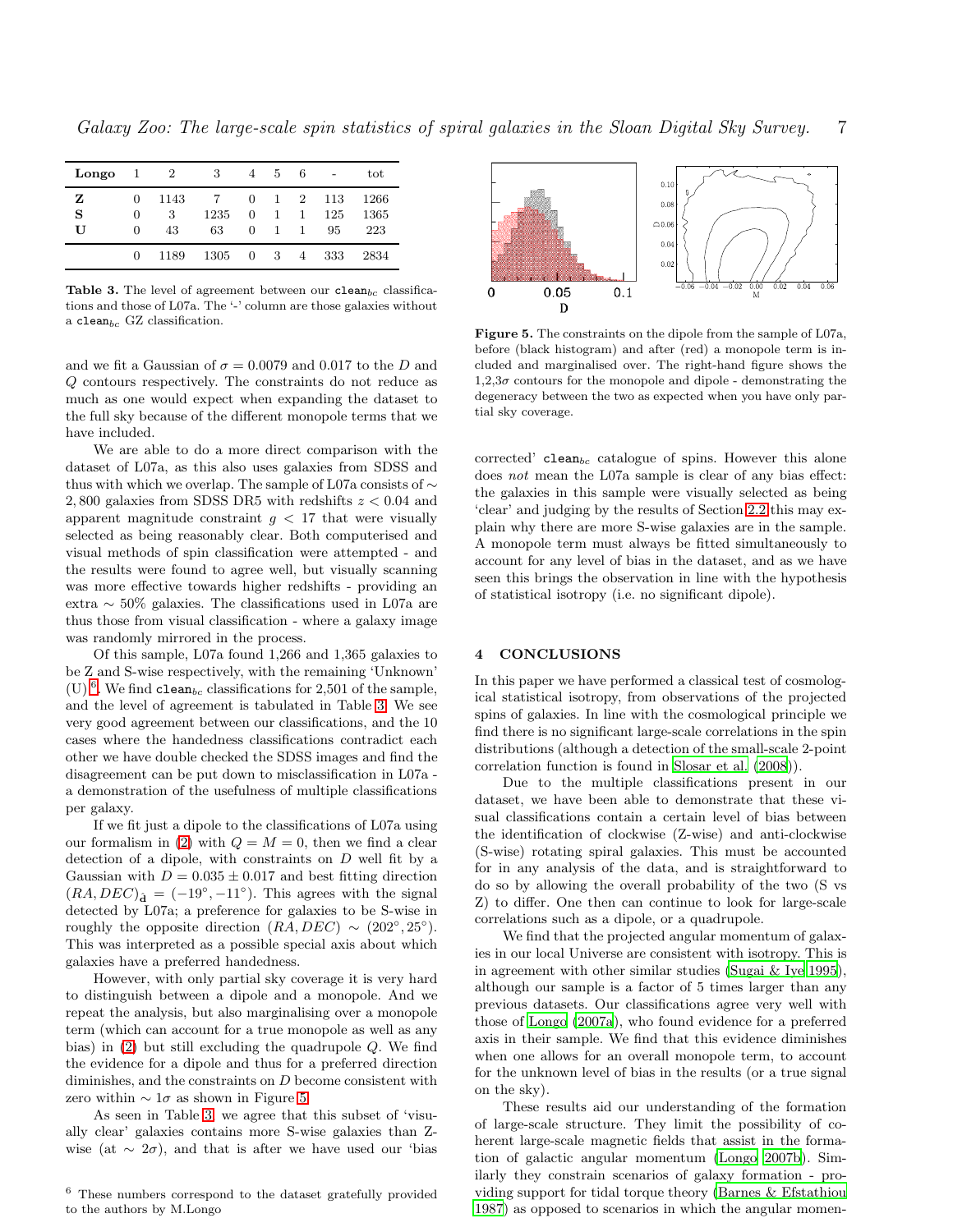*Galaxy Zoo: The large-scale spin statistics of spiral galaxies in the Sloan Digital Sky Survey.* 7

| Longo       | $\mathbf{1}$ | $\overline{2}$  | 3          | 4           | 5                      | 6                        |                  | tot                 |
|-------------|--------------|-----------------|------------|-------------|------------------------|--------------------------|------------------|---------------------|
| z<br>S<br>U | 0<br>0<br>0  | 1143<br>3<br>43 | 1235<br>63 | 0<br>0<br>0 | $\mathbf{1}$<br>1<br>1 | $\overline{2}$<br>1<br>1 | 113<br>125<br>95 | 1266<br>1365<br>223 |
|             | 0            | 1189            | 1305       | 0           | 3                      | 4                        | 333              | 2834                |

<span id="page-6-2"></span>Table 3. The level of agreement between our clean<sub>bc</sub> classifications and those of L07a. The '-' column are those galaxies without a clean<sub>bc</sub> GZ classification.

and we fit a Gaussian of  $\sigma = 0.0079$  and 0.017 to the D and Q contours respectively. The constraints do not reduce as much as one would expect when expanding the dataset to the full sky because of the different monopole terms that we have included.

We are able to do a more direct comparison with the dataset of L07a, as this also uses galaxies from SDSS and thus with which we overlap. The sample of L07a consists of  $\sim$ 2,800 galaxies from SDSS DR5 with redshifts  $z < 0.04$  and apparent magnitude constraint  $g < 17$  that were visually selected as being reasonably clear. Both computerised and visual methods of spin classification were attempted - and the results were found to agree well, but visually scanning was more effective towards higher redshifts - providing an extra ∼ 50% galaxies. The classifications used in L07a are thus those from visual classification - where a galaxy image was randomly mirrored in the process.

Of this sample, L07a found 1,266 and 1,365 galaxies to be Z and S-wise respectively, with the remaining 'Unknown' (U)<sup>[6](#page-6-1)</sup>. We find clean<sub>bc</sub> classifications for 2,501 of the sample, and the level of agreement is tabulated in Table [3.](#page-6-2) We see very good agreement between our classifications, and the 10 cases where the handedness classifications contradict each other we have double checked the SDSS images and find the disagreement can be put down to misclassification in L07a a demonstration of the usefulness of multiple classifications per galaxy.

If we fit just a dipole to the classifications of L07a using our formalism in [\(2\)](#page-4-4) with  $Q = M = 0$ , then we find a clear detection of a dipole, with constraints on D well fit by a Gaussian with  $D = 0.035 \pm 0.017$  and best fitting direction  $(RA, DEC)_{\hat{\mathbf{d}}} = (-19^{\circ}, -11^{\circ})$ . This agrees with the signal detected by L07a; a preference for galaxies to be S-wise in roughly the opposite direction  $(R\breve{A}, DEC) \sim (202^{\circ}, 25^{\circ}).$ This was interpreted as a possible special axis about which galaxies have a preferred handedness.

However, with only partial sky coverage it is very hard to distinguish between a dipole and a monopole. And we repeat the analysis, but also marginalising over a monopole term (which can account for a true monopole as well as any bias) in [\(2\)](#page-4-4) but still excluding the quadrupole Q. We find the evidence for a dipole and thus for a preferred direction diminishes, and the constraints on D become consistent with zero within  $\sim 1\sigma$  as shown in Figure [5.](#page-6-3)

As seen in Table [3,](#page-6-2) we agree that this subset of 'visually clear' galaxies contains more S-wise galaxies than Zwise (at  $\sim 2\sigma$ ), and that is after we have used our 'bias



<span id="page-6-3"></span>Figure 5. The constraints on the dipole from the sample of L07a, before (black histogram) and after (red) a monopole term is included and marginalised over. The right-hand figure shows the  $1,2,3\sigma$  contours for the monopole and dipole - demonstrating the degeneracy between the two as expected when you have only partial sky coverage.

corrected' clean<sub>bc</sub> catalogue of spins. However this alone does not mean the L07a sample is clear of any bias effect: the galaxies in this sample were visually selected as being 'clear' and judging by the results of Section [2.2](#page-2-0) this may explain why there are more S-wise galaxies are in the sample. A monopole term must always be fitted simultaneously to account for any level of bias in the dataset, and as we have seen this brings the observation in line with the hypothesis of statistical isotropy (i.e. no significant dipole).

# <span id="page-6-0"></span>4 CONCLUSIONS

In this paper we have performed a classical test of cosmological statistical isotropy, from observations of the projected spins of galaxies. In line with the cosmological principle we find there is no significant large-scale correlations in the spin distributions (although a detection of the small-scale 2-point correlation function is found in [Slosar et al. \(2008](#page-7-5))).

Due to the multiple classifications present in our dataset, we have been able to demonstrate that these visual classifications contain a certain level of bias between the identification of clockwise (Z-wise) and anti-clockwise (S-wise) rotating spiral galaxies. This must be accounted for in any analysis of the data, and is straightforward to do so by allowing the overall probability of the two (S vs Z) to differ. One then can continue to look for large-scale correlations such as a dipole, or a quadrupole.

We find that the projected angular momentum of galaxies in our local Universe are consistent with isotropy. This is in agreement with other similar studies [\(Sugai & Iye 1995](#page-7-4)), although our sample is a factor of 5 times larger than any previous datasets. Our classifications agree very well with those of [Longo \(2007a](#page-7-6)), who found evidence for a preferred axis in their sample. We find that this evidence diminishes when one allows for an overall monopole term, to account for the unknown level of bias in the results (or a true signal on the sky).

These results aid our understanding of the formation of large-scale structure. They limit the possibility of coherent large-scale magnetic fields that assist in the formation of galactic angular momentum [\(Longo 2007b\)](#page-7-15). Similarly they constrain scenarios of galaxy formation - providing support for tidal torque theory [\(Barnes & Efstathiou](#page-7-16) [1987](#page-7-16)) as opposed to scenarios in which the angular momen-

<span id="page-6-1"></span> $^6$  These numbers correspond to the dataset gratefully provided to the authors by M.Longo